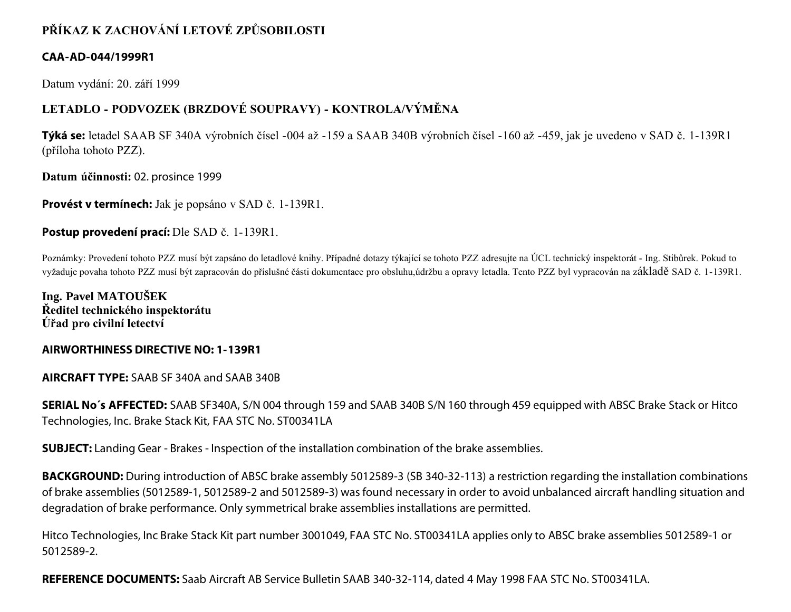# **PŘÍKAZ K ZACHOVÁNÍ LETOVÉ ZPŮSOBILOSTI**

### **CAA-AD-044/1999R1**

Datum vydání: 20. září 1999

## **LETADLO - PODVOZEK (BRZDOVÉ SOUPRAVY) - KONTROLA/VÝMĚNA**

**Týká se:** letadel SAAB SF 340A výrobních čísel -004 až -159 a SAAB 340B výrobních čísel -160 až -459, jak je uvedeno v SAD č. 1-139R1 (příloha tohoto PZZ).

**Datum účinnosti:** 02. prosince 1999

**Provést v termínech:** Jak je popsáno v SAD č. 1-139R1.

### **Postup provedení prací:** Dle SAD č. 1-139R1.

Poznámky: Provedení tohoto PZZ musí být zapsáno do letadlové knihy. Případné dotazy týkající se tohoto PZZ adresujte na ÚCL technický inspektorát - Ing. Stibůrek. Pokud to vyžaduje povaha tohoto PZZ musí být zapracován do příslušné části dokumentace pro obsluhu,údržbu a opravy letadla. Tento PZZ byl vypracován na základě SAD č. 1-139R1.

**Ing. Pavel MATOUŠEK Ředitel technického inspektorátu Úřad pro civilní letectví**

#### **AIRWORTHINESS DIRECTIVE NO: 1-139R1**

**AIRCRAFT TYPE:** SAAB SF 340A and SAAB 340B

**SERIAL No´s AFFECTED:** SAAB SF340A, S/N 004 through 159 and SAAB 340B S/N 160 through 459 equipped with ABSC Brake Stack or Hitco Technologies, Inc. Brake Stack Kit, FAA STC No. ST00341LA

**SUBJECT:** Landing Gear - Brakes - Inspection of the installation combination of the brake assemblies.

**BACKGROUND:** During introduction of ABSC brake assembly 5012589-3 (SB 340-32-113) a restriction regarding the installation combinations of brake assemblies (5012589-1, 5012589-2 and 5012589-3) was found necessary in order to avoid unbalanced aircraft handling situation and degradation of brake performance. Only symmetrical brake assemblies installations are permitted.

Hitco Technologies, Inc Brake Stack Kit part number 3001049, FAA STC No. ST00341LA applies only to ABSC brake assemblies 5012589-1 or 5012589-2.

**REFERENCE DOCUMENTS:** Saab Aircraft AB Service Bulletin SAAB 340-32-114, dated 4 May 1998 FAA STC No. ST00341LA.